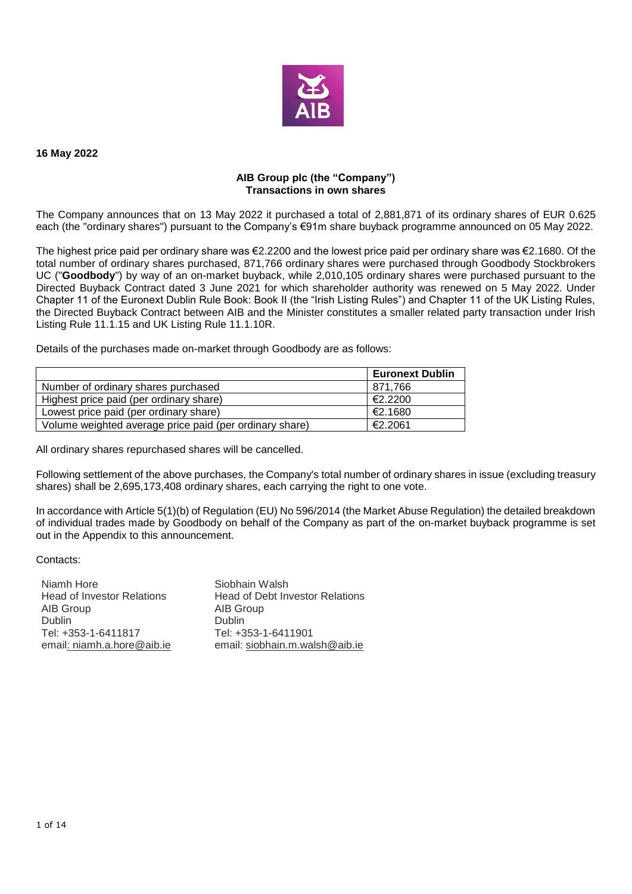

#### **16 May 2022**

#### **AIB Group plc (the "Company") Transactions in own shares**

The Company announces that on 13 May 2022 it purchased a total of 2,881,871 of its ordinary shares of EUR 0.625 each (the "ordinary shares") pursuant to the Company's €91m share buyback programme announced on 05 May 2022.

The highest price paid per ordinary share was €2.2200 and the lowest price paid per ordinary share was €2.1680. Of the total number of ordinary shares purchased, 871,766 ordinary shares were purchased through Goodbody Stockbrokers UC ("**Goodbody**") by way of an on-market buyback, while 2,010,105 ordinary shares were purchased pursuant to the Directed Buyback Contract dated 3 June 2021 for which shareholder authority was renewed on 5 May 2022. Under Chapter 11 of the Euronext Dublin Rule Book: Book II (the "Irish Listing Rules") and Chapter 11 of the UK Listing Rules, the Directed Buyback Contract between AIB and the Minister constitutes a smaller related party transaction under Irish Listing Rule 11.1.15 and UK Listing Rule 11.1.10R.

Details of the purchases made on-market through Goodbody are as follows:

|                                                         | <b>Euronext Dublin</b> |
|---------------------------------------------------------|------------------------|
| Number of ordinary shares purchased                     | 871.766                |
| Highest price paid (per ordinary share)                 | €2.2200                |
| Lowest price paid (per ordinary share)                  | €2.1680                |
| Volume weighted average price paid (per ordinary share) | €2.2061                |

All ordinary shares repurchased shares will be cancelled.

Following settlement of the above purchases, the Company's total number of ordinary shares in issue (excluding treasury shares) shall be 2,695,173,408 ordinary shares, each carrying the right to one vote.

In accordance with Article 5(1)(b) of Regulation (EU) No 596/2014 (the Market Abuse Regulation) the detailed breakdown of individual trades made by Goodbody on behalf of the Company as part of the on-market buyback programme is set out in the Appendix to this announcement.

Contacts:

| Niamh Hore                        | Siobhain Walsh                         |
|-----------------------------------|----------------------------------------|
| <b>Head of Investor Relations</b> | <b>Head of Debt Investor Relations</b> |
| AIB Group                         | AIB Group                              |
| Dublin                            | <b>Dublin</b>                          |
| Tel: +353-1-6411817               | Tel: +353-1-6411901                    |
| email: niamh.a.hore@aib.ie        | email: siobhain.m.walsh@aib.ie         |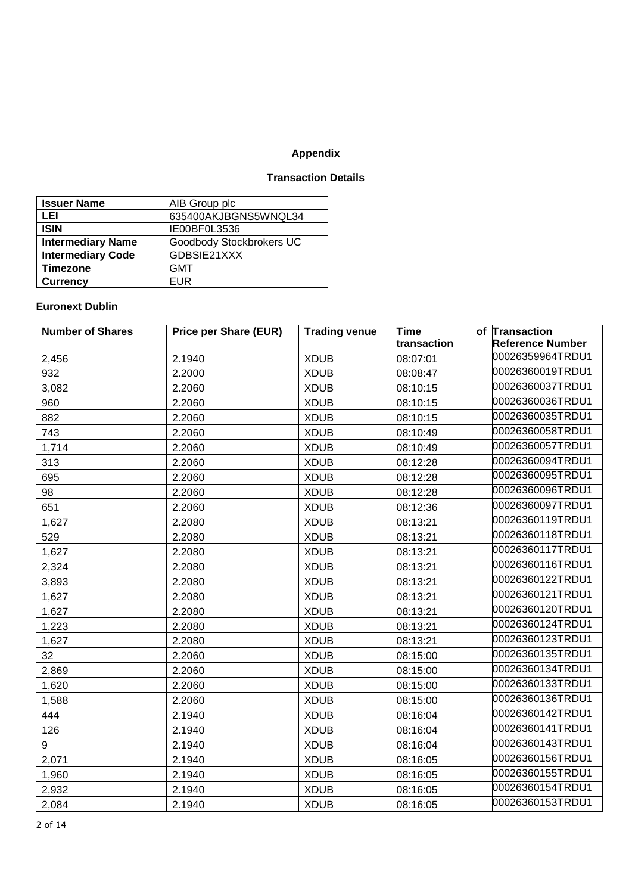# **Appendix**

# **Transaction Details**

| <b>Issuer Name</b>       | AIB Group plc            |
|--------------------------|--------------------------|
| LEI                      | 635400AKJBGNS5WNQL34     |
| <b>ISIN</b>              | IE00BF0L3536             |
| <b>Intermediary Name</b> | Goodbody Stockbrokers UC |
| <b>Intermediary Code</b> | GDBSIE21XXX              |
| Timezone                 | <b>GMT</b>               |
| <b>Currency</b>          | FUR                      |

### **Euronext Dublin**

| <b>Number of Shares</b> | <b>Price per Share (EUR)</b> | <b>Trading venue</b> | Time        | of Transaction          |
|-------------------------|------------------------------|----------------------|-------------|-------------------------|
|                         |                              |                      | transaction | <b>Reference Number</b> |
| 2,456                   | 2.1940                       | <b>XDUB</b>          | 08:07:01    | 00026359964TRDU1        |
| 932                     | 2.2000                       | <b>XDUB</b>          | 08:08:47    | 00026360019TRDU1        |
| 3,082                   | 2.2060                       | <b>XDUB</b>          | 08:10:15    | 00026360037TRDU1        |
| 960                     | 2.2060                       | <b>XDUB</b>          | 08:10:15    | 00026360036TRDU1        |
| 882                     | 2.2060                       | <b>XDUB</b>          | 08:10:15    | 00026360035TRDU1        |
| 743                     | 2.2060                       | <b>XDUB</b>          | 08:10:49    | 00026360058TRDU1        |
| 1,714                   | 2.2060                       | <b>XDUB</b>          | 08:10:49    | 00026360057TRDU1        |
| 313                     | 2.2060                       | <b>XDUB</b>          | 08:12:28    | 00026360094TRDU1        |
| 695                     | 2.2060                       | <b>XDUB</b>          | 08:12:28    | 00026360095TRDU1        |
| 98                      | 2.2060                       | <b>XDUB</b>          | 08:12:28    | 00026360096TRDU1        |
| 651                     | 2.2060                       | <b>XDUB</b>          | 08:12:36    | 00026360097TRDU1        |
| 1,627                   | 2.2080                       | <b>XDUB</b>          | 08:13:21    | 00026360119TRDU1        |
| 529                     | 2.2080                       | <b>XDUB</b>          | 08:13:21    | 00026360118TRDU1        |
| 1,627                   | 2.2080                       | <b>XDUB</b>          | 08:13:21    | 00026360117TRDU1        |
| 2,324                   | 2.2080                       | <b>XDUB</b>          | 08:13:21    | 00026360116TRDU1        |
| 3,893                   | 2.2080                       | <b>XDUB</b>          | 08:13:21    | 00026360122TRDU1        |
| 1,627                   | 2.2080                       | <b>XDUB</b>          | 08:13:21    | 00026360121TRDU1        |
| 1,627                   | 2.2080                       | <b>XDUB</b>          | 08:13:21    | 00026360120TRDU1        |
| 1,223                   | 2.2080                       | <b>XDUB</b>          | 08:13:21    | 00026360124TRDU1        |
| 1,627                   | 2.2080                       | <b>XDUB</b>          | 08:13:21    | 00026360123TRDU1        |
| 32                      | 2.2060                       | <b>XDUB</b>          | 08:15:00    | 00026360135TRDU1        |
| 2,869                   | 2.2060                       | <b>XDUB</b>          | 08:15:00    | 00026360134TRDU1        |
| 1,620                   | 2.2060                       | <b>XDUB</b>          | 08:15:00    | 00026360133TRDU1        |
| 1,588                   | 2.2060                       | <b>XDUB</b>          | 08:15:00    | 00026360136TRDU1        |
| 444                     | 2.1940                       | <b>XDUB</b>          | 08:16:04    | 00026360142TRDU1        |
| 126                     | 2.1940                       | <b>XDUB</b>          | 08:16:04    | 00026360141TRDU1        |
| 9                       | 2.1940                       | <b>XDUB</b>          | 08:16:04    | 00026360143TRDU1        |
| 2,071                   | 2.1940                       | <b>XDUB</b>          | 08:16:05    | 00026360156TRDU1        |
| 1,960                   | 2.1940                       | <b>XDUB</b>          | 08:16:05    | 00026360155TRDU1        |
| 2,932                   | 2.1940                       | <b>XDUB</b>          | 08:16:05    | 00026360154TRDU1        |
| 2,084                   | 2.1940                       | <b>XDUB</b>          | 08:16:05    | 00026360153TRDU1        |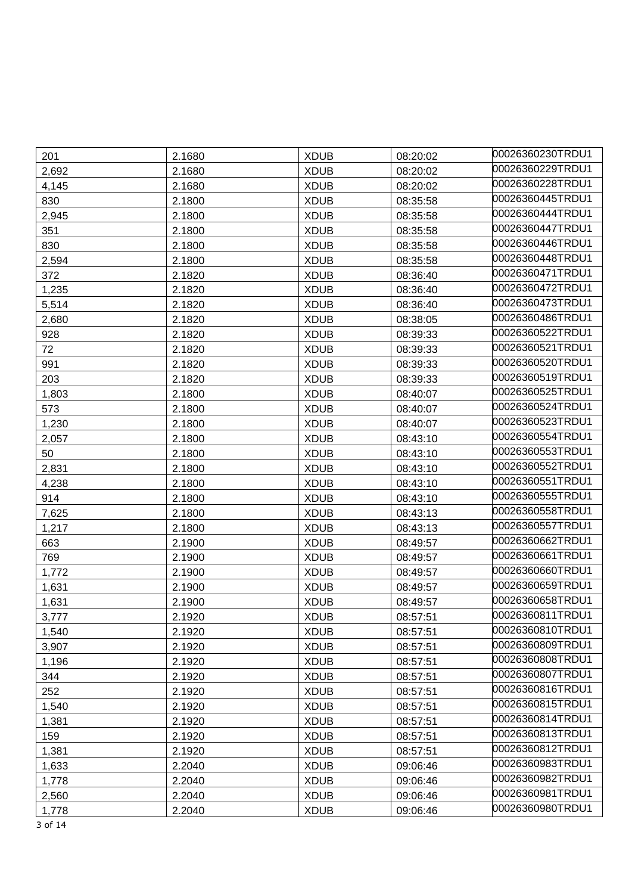| 201     | 2.1680 | <b>XDUB</b> | 08:20:02 | 00026360230TRDU1 |
|---------|--------|-------------|----------|------------------|
| 2,692   | 2.1680 | <b>XDUB</b> | 08:20:02 | 00026360229TRDU1 |
| 4,145   | 2.1680 | <b>XDUB</b> | 08:20:02 | 00026360228TRDU1 |
| 830     | 2.1800 | <b>XDUB</b> | 08:35:58 | 00026360445TRDU1 |
| 2,945   | 2.1800 | <b>XDUB</b> | 08:35:58 | 00026360444TRDU1 |
| 351     | 2.1800 | <b>XDUB</b> | 08:35:58 | 00026360447TRDU1 |
| 830     | 2.1800 | <b>XDUB</b> | 08:35:58 | 00026360446TRDU1 |
| 2,594   | 2.1800 | <b>XDUB</b> | 08:35:58 | 00026360448TRDU1 |
| 372     | 2.1820 | <b>XDUB</b> | 08:36:40 | 00026360471TRDU1 |
| 1,235   | 2.1820 | <b>XDUB</b> | 08:36:40 | 00026360472TRDU1 |
| 5,514   | 2.1820 | <b>XDUB</b> | 08:36:40 | 00026360473TRDU1 |
| 2,680   | 2.1820 | <b>XDUB</b> | 08:38:05 | 00026360486TRDU1 |
| 928     | 2.1820 | <b>XDUB</b> | 08:39:33 | 00026360522TRDU1 |
| 72      | 2.1820 | <b>XDUB</b> | 08:39:33 | 00026360521TRDU1 |
| 991     | 2.1820 | <b>XDUB</b> | 08:39:33 | 00026360520TRDU1 |
| 203     | 2.1820 | <b>XDUB</b> | 08:39:33 | 00026360519TRDU1 |
| 1,803   | 2.1800 | <b>XDUB</b> | 08:40:07 | 00026360525TRDU1 |
| 573     | 2.1800 | <b>XDUB</b> | 08:40:07 | 00026360524TRDU1 |
| 1,230   | 2.1800 | <b>XDUB</b> | 08:40:07 | 00026360523TRDU1 |
| 2,057   | 2.1800 | <b>XDUB</b> | 08:43:10 | 00026360554TRDU1 |
| 50      | 2.1800 | <b>XDUB</b> | 08:43:10 | 00026360553TRDU1 |
| 2,831   | 2.1800 | <b>XDUB</b> | 08:43:10 | 00026360552TRDU1 |
| 4,238   | 2.1800 | <b>XDUB</b> | 08:43:10 | 00026360551TRDU1 |
| 914     | 2.1800 | <b>XDUB</b> | 08:43:10 | 00026360555TRDU1 |
| 7,625   | 2.1800 | <b>XDUB</b> | 08:43:13 | 00026360558TRDU1 |
| 1,217   | 2.1800 | <b>XDUB</b> | 08:43:13 | 00026360557TRDU1 |
| 663     | 2.1900 | <b>XDUB</b> | 08:49:57 | 00026360662TRDU1 |
| 769     | 2.1900 | <b>XDUB</b> | 08:49:57 | 00026360661TRDU1 |
| 1,772   | 2.1900 | <b>XDUB</b> | 08:49:57 | 00026360660TRDU1 |
| 1,631   | 2.1900 | <b>XDUB</b> | 08:49:57 | 00026360659TRDU1 |
| 1,631   | 2.1900 | <b>XDUB</b> | 08:49:57 | 00026360658TRDU1 |
| 3,777   | 2.1920 | <b>XDUB</b> | 08:57:51 | 00026360811TRDU1 |
| 1,540   | 2.1920 | <b>XDUB</b> | 08:57:51 | 00026360810TRDU1 |
| 3,907   | 2.1920 | <b>XDUB</b> | 08:57:51 | 00026360809TRDU1 |
| 1,196   | 2.1920 | <b>XDUB</b> | 08:57:51 | 00026360808TRDU1 |
| 344     | 2.1920 | <b>XDUB</b> | 08:57:51 | 00026360807TRDU1 |
| 252     | 2.1920 | <b>XDUB</b> | 08:57:51 | 00026360816TRDU1 |
| 1,540   | 2.1920 | <b>XDUB</b> | 08:57:51 | 00026360815TRDU1 |
| 1,381   | 2.1920 | <b>XDUB</b> | 08:57:51 | 00026360814TRDU1 |
| 159     | 2.1920 | <b>XDUB</b> | 08:57:51 | 00026360813TRDU1 |
| 1,381   | 2.1920 | <b>XDUB</b> | 08:57:51 | 00026360812TRDU1 |
| 1,633   | 2.2040 | <b>XDUB</b> | 09:06:46 | 00026360983TRDU1 |
| 1,778   | 2.2040 | <b>XDUB</b> | 09:06:46 | 00026360982TRDU1 |
| 2,560   | 2.2040 | <b>XDUB</b> | 09:06:46 | 00026360981TRDU1 |
| 1,778   | 2.2040 | <b>XDUB</b> | 09:06:46 | 00026360980TRDU1 |
| 3 of 14 |        |             |          |                  |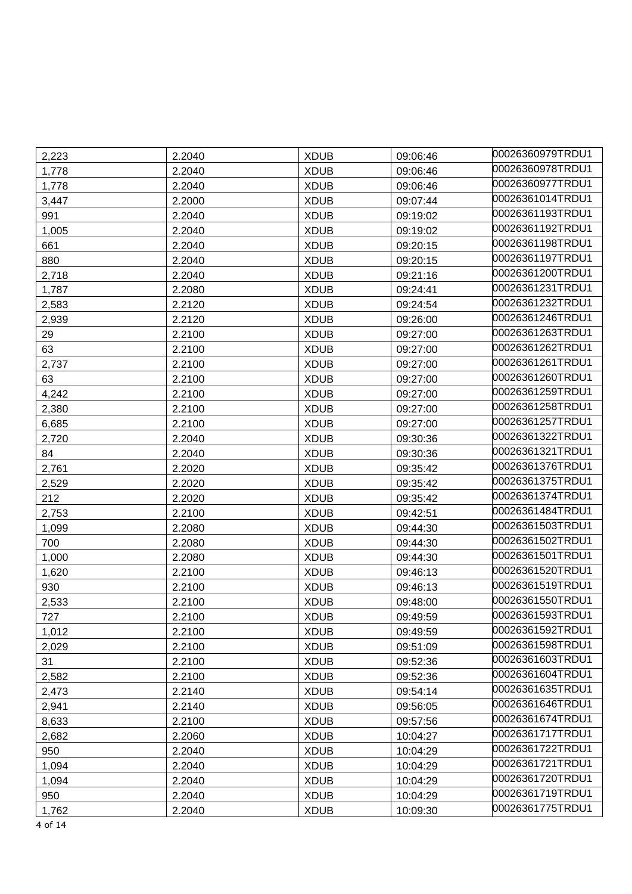| 2,223 | 2.2040 | <b>XDUB</b> | 09:06:46 | 00026360979TRDU1 |
|-------|--------|-------------|----------|------------------|
| 1,778 | 2.2040 | <b>XDUB</b> | 09:06:46 | 00026360978TRDU1 |
| 1,778 | 2.2040 | <b>XDUB</b> | 09:06:46 | 00026360977TRDU1 |
| 3,447 | 2.2000 | <b>XDUB</b> | 09:07:44 | 00026361014TRDU1 |
| 991   | 2.2040 | <b>XDUB</b> | 09:19:02 | 00026361193TRDU1 |
| 1,005 | 2.2040 | <b>XDUB</b> | 09:19:02 | 00026361192TRDU1 |
| 661   | 2.2040 | <b>XDUB</b> | 09:20:15 | 00026361198TRDU1 |
| 880   | 2.2040 | <b>XDUB</b> | 09:20:15 | 00026361197TRDU1 |
| 2,718 | 2.2040 | <b>XDUB</b> | 09:21:16 | 00026361200TRDU1 |
| 1,787 | 2.2080 | <b>XDUB</b> | 09:24:41 | 00026361231TRDU1 |
| 2,583 | 2.2120 | <b>XDUB</b> | 09:24:54 | 00026361232TRDU1 |
| 2,939 | 2.2120 | <b>XDUB</b> | 09:26:00 | 00026361246TRDU1 |
| 29    | 2.2100 | <b>XDUB</b> | 09:27:00 | 00026361263TRDU1 |
| 63    | 2.2100 | <b>XDUB</b> | 09:27:00 | 00026361262TRDU1 |
| 2,737 | 2.2100 | <b>XDUB</b> | 09:27:00 | 00026361261TRDU1 |
| 63    | 2.2100 | <b>XDUB</b> | 09:27:00 | 00026361260TRDU1 |
| 4,242 | 2.2100 | <b>XDUB</b> | 09:27:00 | 00026361259TRDU1 |
| 2,380 | 2.2100 | <b>XDUB</b> | 09:27:00 | 00026361258TRDU1 |
| 6,685 | 2.2100 | <b>XDUB</b> | 09:27:00 | 00026361257TRDU1 |
| 2,720 | 2.2040 | <b>XDUB</b> | 09:30:36 | 00026361322TRDU1 |
| 84    | 2.2040 | <b>XDUB</b> | 09:30:36 | 00026361321TRDU1 |
| 2,761 | 2.2020 | <b>XDUB</b> | 09:35:42 | 00026361376TRDU1 |
| 2,529 | 2.2020 | <b>XDUB</b> | 09:35:42 | 00026361375TRDU1 |
| 212   | 2.2020 | <b>XDUB</b> | 09:35:42 | 00026361374TRDU1 |
| 2,753 | 2.2100 | <b>XDUB</b> | 09:42:51 | 00026361484TRDU1 |
| 1,099 | 2.2080 | <b>XDUB</b> | 09:44:30 | 00026361503TRDU1 |
| 700   | 2.2080 | <b>XDUB</b> | 09:44:30 | 00026361502TRDU1 |
| 1,000 | 2.2080 | <b>XDUB</b> | 09:44:30 | 00026361501TRDU1 |
| 1,620 | 2.2100 | <b>XDUB</b> | 09:46:13 | 00026361520TRDU1 |
| 930   | 2.2100 | <b>XDUB</b> | 09:46:13 | 00026361519TRDU1 |
| 2,533 | 2.2100 | <b>XDUB</b> | 09:48:00 | 00026361550TRDU1 |
| 727   | 2.2100 | <b>XDUB</b> | 09:49:59 | 00026361593TRDU1 |
| 1,012 | 2.2100 | <b>XDUB</b> | 09:49:59 | 00026361592TRDU1 |
| 2,029 | 2.2100 | <b>XDUB</b> | 09:51:09 | 00026361598TRDU1 |
| 31    | 2.2100 | <b>XDUB</b> | 09:52:36 | 00026361603TRDU1 |
| 2,582 | 2.2100 | <b>XDUB</b> | 09:52:36 | 00026361604TRDU1 |
| 2,473 | 2.2140 | <b>XDUB</b> | 09:54:14 | 00026361635TRDU1 |
| 2,941 | 2.2140 | <b>XDUB</b> | 09:56:05 | 00026361646TRDU1 |
| 8,633 | 2.2100 | <b>XDUB</b> | 09:57:56 | 00026361674TRDU1 |
| 2,682 | 2.2060 | <b>XDUB</b> | 10:04:27 | 00026361717TRDU1 |
| 950   | 2.2040 | <b>XDUB</b> | 10:04:29 | 00026361722TRDU1 |
| 1,094 | 2.2040 | <b>XDUB</b> | 10:04:29 | 00026361721TRDU1 |
| 1,094 | 2.2040 | <b>XDUB</b> | 10:04:29 | 00026361720TRDU1 |
| 950   | 2.2040 | <b>XDUB</b> | 10:04:29 | 00026361719TRDU1 |
| 1,762 | 2.2040 | <b>XDUB</b> | 10:09:30 | 00026361775TRDU1 |

4 of 14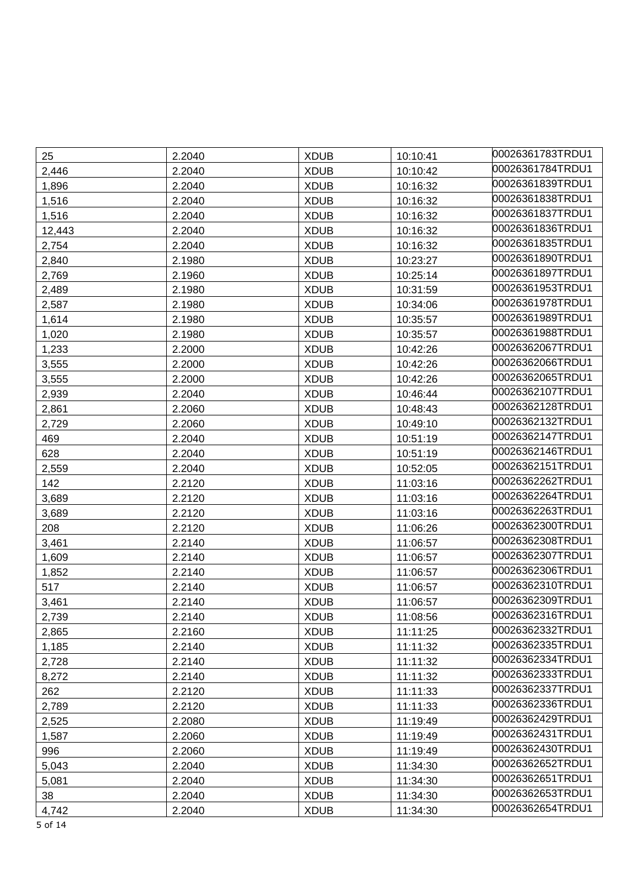| 25     | 2.2040 | <b>XDUB</b> | 10:10:41 | 00026361783TRDU1 |
|--------|--------|-------------|----------|------------------|
| 2,446  | 2.2040 | <b>XDUB</b> | 10:10:42 | 00026361784TRDU1 |
| 1,896  | 2.2040 | <b>XDUB</b> | 10:16:32 | 00026361839TRDU1 |
| 1,516  | 2.2040 | <b>XDUB</b> | 10:16:32 | 00026361838TRDU1 |
| 1,516  | 2.2040 | <b>XDUB</b> | 10:16:32 | 00026361837TRDU1 |
| 12,443 | 2.2040 | <b>XDUB</b> | 10:16:32 | 00026361836TRDU1 |
| 2,754  | 2.2040 | <b>XDUB</b> | 10:16:32 | 00026361835TRDU1 |
| 2,840  | 2.1980 | <b>XDUB</b> | 10:23:27 | 00026361890TRDU1 |
| 2,769  | 2.1960 | <b>XDUB</b> | 10:25:14 | 00026361897TRDU1 |
| 2,489  | 2.1980 | <b>XDUB</b> | 10:31:59 | 00026361953TRDU1 |
| 2,587  | 2.1980 | <b>XDUB</b> | 10:34:06 | 00026361978TRDU1 |
| 1,614  | 2.1980 | <b>XDUB</b> | 10:35:57 | 00026361989TRDU1 |
| 1,020  | 2.1980 | <b>XDUB</b> | 10:35:57 | 00026361988TRDU1 |
| 1,233  | 2.2000 | <b>XDUB</b> | 10:42:26 | 00026362067TRDU1 |
| 3,555  | 2.2000 | <b>XDUB</b> | 10:42:26 | 00026362066TRDU1 |
| 3,555  | 2.2000 | <b>XDUB</b> | 10:42:26 | 00026362065TRDU1 |
| 2,939  | 2.2040 | <b>XDUB</b> | 10:46:44 | 00026362107TRDU1 |
| 2,861  | 2.2060 | <b>XDUB</b> | 10:48:43 | 00026362128TRDU1 |
| 2,729  | 2.2060 | <b>XDUB</b> | 10:49:10 | 00026362132TRDU1 |
| 469    | 2.2040 | <b>XDUB</b> | 10:51:19 | 00026362147TRDU1 |
| 628    | 2.2040 | <b>XDUB</b> | 10:51:19 | 00026362146TRDU1 |
| 2,559  | 2.2040 | <b>XDUB</b> | 10:52:05 | 00026362151TRDU1 |
| 142    | 2.2120 | <b>XDUB</b> | 11:03:16 | 00026362262TRDU1 |
| 3,689  | 2.2120 | <b>XDUB</b> | 11:03:16 | 00026362264TRDU1 |
| 3,689  | 2.2120 | <b>XDUB</b> | 11:03:16 | 00026362263TRDU1 |
| 208    | 2.2120 | <b>XDUB</b> | 11:06:26 | 00026362300TRDU1 |
| 3,461  | 2.2140 | <b>XDUB</b> | 11:06:57 | 00026362308TRDU1 |
| 1,609  | 2.2140 | <b>XDUB</b> | 11:06:57 | 00026362307TRDU1 |
| 1,852  | 2.2140 | <b>XDUB</b> | 11:06:57 | 00026362306TRDU1 |
| 517    | 2.2140 | <b>XDUB</b> | 11:06:57 | 00026362310TRDU1 |
| 3,461  | 2.2140 | <b>XDUB</b> | 11:06:57 | 00026362309TRDU1 |
| 2,739  | 2.2140 | <b>XDUB</b> | 11:08:56 | 00026362316TRDU1 |
| 2,865  | 2.2160 | <b>XDUB</b> | 11:11:25 | 00026362332TRDU1 |
| 1,185  | 2.2140 | <b>XDUB</b> | 11:11:32 | 00026362335TRDU1 |
| 2,728  | 2.2140 | <b>XDUB</b> | 11:11:32 | 00026362334TRDU1 |
| 8,272  | 2.2140 | <b>XDUB</b> | 11:11:32 | 00026362333TRDU1 |
| 262    | 2.2120 | <b>XDUB</b> | 11:11:33 | 00026362337TRDU1 |
| 2,789  | 2.2120 | <b>XDUB</b> | 11:11:33 | 00026362336TRDU1 |
| 2,525  | 2.2080 | <b>XDUB</b> | 11:19:49 | 00026362429TRDU1 |
| 1,587  | 2.2060 | <b>XDUB</b> | 11:19:49 | 00026362431TRDU1 |
| 996    | 2.2060 | <b>XDUB</b> | 11:19:49 | 00026362430TRDU1 |
| 5,043  | 2.2040 | <b>XDUB</b> | 11:34:30 | 00026362652TRDU1 |
| 5,081  | 2.2040 | <b>XDUB</b> | 11:34:30 | 00026362651TRDU1 |
| 38     | 2.2040 | <b>XDUB</b> | 11:34:30 | 00026362653TRDU1 |
| 4,742  | 2.2040 | <b>XDUB</b> | 11:34:30 | 00026362654TRDU1 |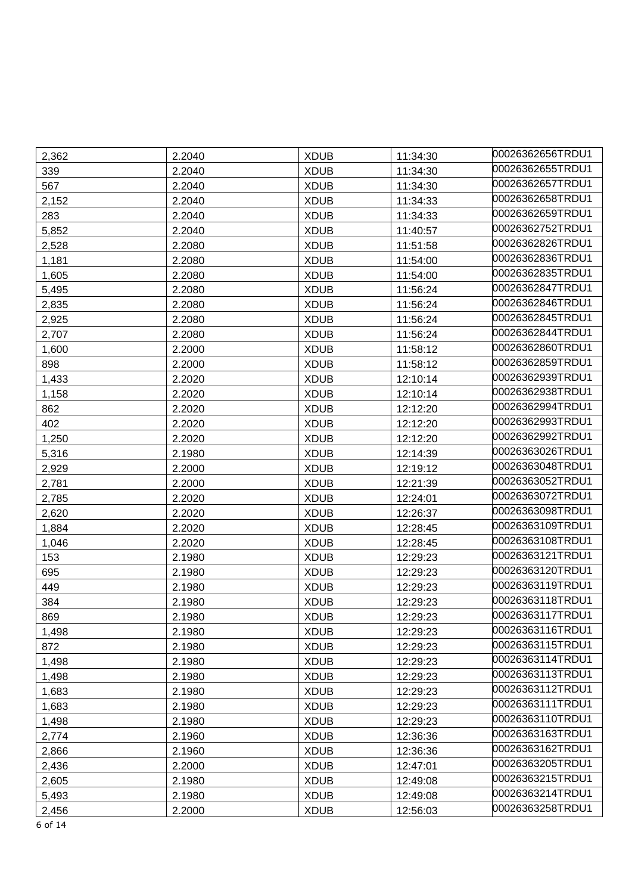| 2,362   | 2.2040 | <b>XDUB</b> | 11:34:30 | l00026362656TRDU1 |
|---------|--------|-------------|----------|-------------------|
| 339     | 2.2040 | <b>XDUB</b> | 11:34:30 | 00026362655TRDU1  |
| 567     | 2.2040 | <b>XDUB</b> | 11:34:30 | 00026362657TRDU1  |
| 2,152   | 2.2040 | <b>XDUB</b> | 11:34:33 | 00026362658TRDU1  |
| 283     | 2.2040 | <b>XDUB</b> | 11:34:33 | 00026362659TRDU1  |
| 5,852   | 2.2040 | <b>XDUB</b> | 11:40:57 | 00026362752TRDU1  |
| 2,528   | 2.2080 | <b>XDUB</b> | 11:51:58 | 00026362826TRDU1  |
| 1,181   | 2.2080 | <b>XDUB</b> | 11:54:00 | 00026362836TRDU1  |
| 1,605   | 2.2080 | <b>XDUB</b> | 11:54:00 | 00026362835TRDU1  |
| 5,495   | 2.2080 | <b>XDUB</b> | 11:56:24 | 00026362847TRDU1  |
| 2,835   | 2.2080 | <b>XDUB</b> | 11:56:24 | 00026362846TRDU1  |
| 2,925   | 2.2080 | <b>XDUB</b> | 11:56:24 | 00026362845TRDU1  |
| 2,707   | 2.2080 | <b>XDUB</b> | 11:56:24 | 00026362844TRDU1  |
| 1,600   | 2.2000 | <b>XDUB</b> | 11:58:12 | 00026362860TRDU1  |
| 898     | 2.2000 | <b>XDUB</b> | 11:58:12 | 00026362859TRDU1  |
| 1,433   | 2.2020 | <b>XDUB</b> | 12:10:14 | 00026362939TRDU1  |
| 1,158   | 2.2020 | <b>XDUB</b> | 12:10:14 | 00026362938TRDU1  |
| 862     | 2.2020 | <b>XDUB</b> | 12:12:20 | 00026362994TRDU1  |
| 402     | 2.2020 | <b>XDUB</b> | 12:12:20 | 00026362993TRDU1  |
| 1,250   | 2.2020 | <b>XDUB</b> | 12:12:20 | 00026362992TRDU1  |
| 5,316   | 2.1980 | <b>XDUB</b> | 12:14:39 | 00026363026TRDU1  |
| 2,929   | 2.2000 | <b>XDUB</b> | 12:19:12 | 00026363048TRDU1  |
| 2,781   | 2.2000 | <b>XDUB</b> | 12:21:39 | 00026363052TRDU1  |
| 2,785   | 2.2020 | <b>XDUB</b> | 12:24:01 | 00026363072TRDU1  |
| 2,620   | 2.2020 | <b>XDUB</b> | 12:26:37 | 00026363098TRDU1  |
| 1,884   | 2.2020 | <b>XDUB</b> | 12:28:45 | 00026363109TRDU1  |
| 1,046   | 2.2020 | <b>XDUB</b> | 12:28:45 | 00026363108TRDU1  |
| 153     | 2.1980 | <b>XDUB</b> | 12:29:23 | 00026363121TRDU1  |
| 695     | 2.1980 | <b>XDUB</b> | 12:29:23 | 00026363120TRDU1  |
| 449     | 2.1980 | <b>XDUB</b> | 12:29:23 | 00026363119TRDU1  |
| 384     | 2.1980 | <b>XDUB</b> | 12:29:23 | 00026363118TRDU1  |
| 869     | 2.1980 | <b>XDUB</b> | 12:29:23 | 00026363117TRDU1  |
| 1,498   | 2.1980 | <b>XDUB</b> | 12:29:23 | 00026363116TRDU1  |
| 872     | 2.1980 | <b>XDUB</b> | 12:29:23 | 00026363115TRDU1  |
| 1,498   | 2.1980 | <b>XDUB</b> | 12:29:23 | 00026363114TRDU1  |
| 1,498   | 2.1980 | <b>XDUB</b> | 12:29:23 | 00026363113TRDU1  |
| 1,683   | 2.1980 | <b>XDUB</b> | 12:29:23 | 00026363112TRDU1  |
| 1,683   | 2.1980 | <b>XDUB</b> | 12:29:23 | 00026363111TRDU1  |
| 1,498   | 2.1980 | <b>XDUB</b> | 12:29:23 | 00026363110TRDU1  |
| 2,774   | 2.1960 | <b>XDUB</b> | 12:36:36 | 00026363163TRDU1  |
| 2,866   | 2.1960 | <b>XDUB</b> | 12:36:36 | 00026363162TRDU1  |
| 2,436   | 2.2000 | <b>XDUB</b> | 12:47:01 | 00026363205TRDU1  |
| 2,605   | 2.1980 | <b>XDUB</b> | 12:49:08 | 00026363215TRDU1  |
| 5,493   | 2.1980 | <b>XDUB</b> | 12:49:08 | 00026363214TRDU1  |
| 2,456   | 2.2000 | <b>XDUB</b> | 12:56:03 | 00026363258TRDU1  |
| 6 of 14 |        |             |          |                   |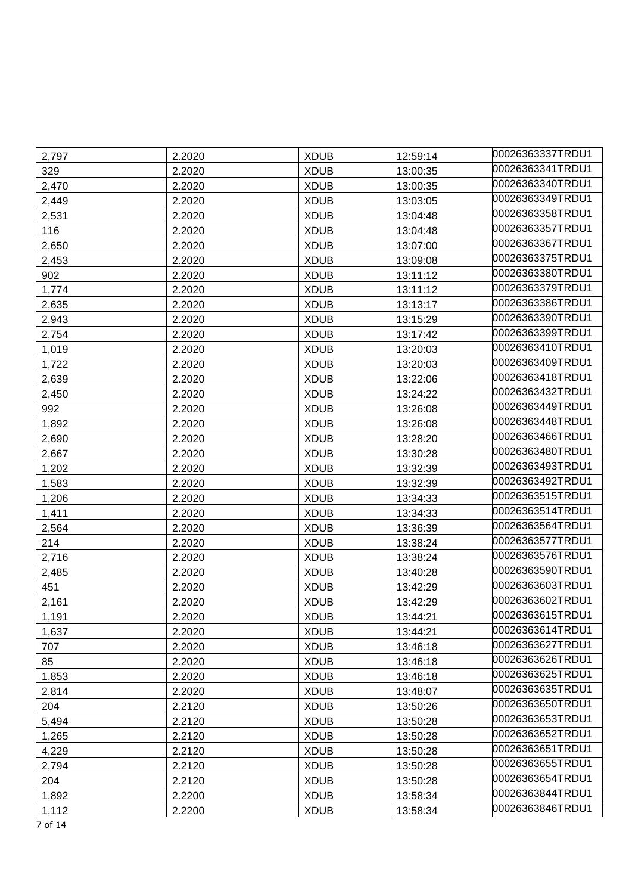| 2,797 | 2.2020 | <b>XDUB</b> | 12:59:14 | 00026363337TRDU1 |
|-------|--------|-------------|----------|------------------|
| 329   | 2.2020 | <b>XDUB</b> | 13:00:35 | 00026363341TRDU1 |
| 2,470 | 2.2020 | <b>XDUB</b> | 13:00:35 | 00026363340TRDU1 |
| 2,449 | 2.2020 | <b>XDUB</b> | 13:03:05 | 00026363349TRDU1 |
| 2,531 | 2.2020 | <b>XDUB</b> | 13:04:48 | 00026363358TRDU1 |
| 116   | 2.2020 | <b>XDUB</b> | 13:04:48 | 00026363357TRDU1 |
| 2,650 | 2.2020 | <b>XDUB</b> | 13:07:00 | 00026363367TRDU1 |
| 2,453 | 2.2020 | <b>XDUB</b> | 13:09:08 | 00026363375TRDU1 |
| 902   | 2.2020 | <b>XDUB</b> | 13:11:12 | 00026363380TRDU1 |
| 1,774 | 2.2020 | <b>XDUB</b> | 13:11:12 | 00026363379TRDU1 |
| 2,635 | 2.2020 | <b>XDUB</b> | 13:13:17 | 00026363386TRDU1 |
| 2,943 | 2.2020 | <b>XDUB</b> | 13:15:29 | 00026363390TRDU1 |
| 2,754 | 2.2020 | <b>XDUB</b> | 13:17:42 | 00026363399TRDU1 |
| 1,019 | 2.2020 | <b>XDUB</b> | 13:20:03 | 00026363410TRDU1 |
| 1,722 | 2.2020 | <b>XDUB</b> | 13:20:03 | 00026363409TRDU1 |
| 2,639 | 2.2020 | <b>XDUB</b> | 13:22:06 | 00026363418TRDU1 |
| 2,450 | 2.2020 | <b>XDUB</b> | 13:24:22 | 00026363432TRDU1 |
| 992   | 2.2020 | <b>XDUB</b> | 13:26:08 | 00026363449TRDU1 |
| 1,892 | 2.2020 | <b>XDUB</b> | 13:26:08 | 00026363448TRDU1 |
| 2,690 | 2.2020 | <b>XDUB</b> | 13:28:20 | 00026363466TRDU1 |
| 2,667 | 2.2020 | <b>XDUB</b> | 13:30:28 | 00026363480TRDU1 |
| 1,202 | 2.2020 | <b>XDUB</b> | 13:32:39 | 00026363493TRDU1 |
| 1,583 | 2.2020 | <b>XDUB</b> | 13:32:39 | 00026363492TRDU1 |
| 1,206 | 2.2020 | <b>XDUB</b> | 13:34:33 | 00026363515TRDU1 |
| 1,411 | 2.2020 | <b>XDUB</b> | 13:34:33 | 00026363514TRDU1 |
| 2,564 | 2.2020 | <b>XDUB</b> | 13:36:39 | 00026363564TRDU1 |
| 214   | 2.2020 | <b>XDUB</b> | 13:38:24 | 00026363577TRDU1 |
| 2,716 | 2.2020 | <b>XDUB</b> | 13:38:24 | 00026363576TRDU1 |
| 2,485 | 2.2020 | <b>XDUB</b> | 13:40:28 | 00026363590TRDU1 |
| 451   | 2.2020 | <b>XDUB</b> | 13:42:29 | 00026363603TRDU1 |
| 2,161 | 2.2020 | <b>XDUB</b> | 13:42:29 | 00026363602TRDU1 |
| 1,191 | 2.2020 | <b>XDUB</b> | 13:44:21 | 00026363615TRDU1 |
| 1,637 | 2.2020 | <b>XDUB</b> | 13:44:21 | 00026363614TRDU1 |
| 707   | 2.2020 | <b>XDUB</b> | 13:46:18 | 00026363627TRDU1 |
| 85    | 2.2020 | <b>XDUB</b> | 13:46:18 | 00026363626TRDU1 |
| 1,853 | 2.2020 | <b>XDUB</b> | 13:46:18 | 00026363625TRDU1 |
| 2,814 | 2.2020 | <b>XDUB</b> | 13:48:07 | 00026363635TRDU1 |
| 204   | 2.2120 | <b>XDUB</b> | 13:50:26 | 00026363650TRDU1 |
| 5,494 | 2.2120 | <b>XDUB</b> | 13:50:28 | 00026363653TRDU1 |
| 1,265 | 2.2120 | <b>XDUB</b> | 13:50:28 | 00026363652TRDU1 |
| 4,229 | 2.2120 | <b>XDUB</b> | 13:50:28 | 00026363651TRDU1 |
| 2,794 | 2.2120 | <b>XDUB</b> | 13:50:28 | 00026363655TRDU1 |
| 204   | 2.2120 | <b>XDUB</b> | 13:50:28 | 00026363654TRDU1 |
| 1,892 | 2.2200 | <b>XDUB</b> | 13:58:34 | 00026363844TRDU1 |
| 1,112 | 2.2200 | <b>XDUB</b> | 13:58:34 | 00026363846TRDU1 |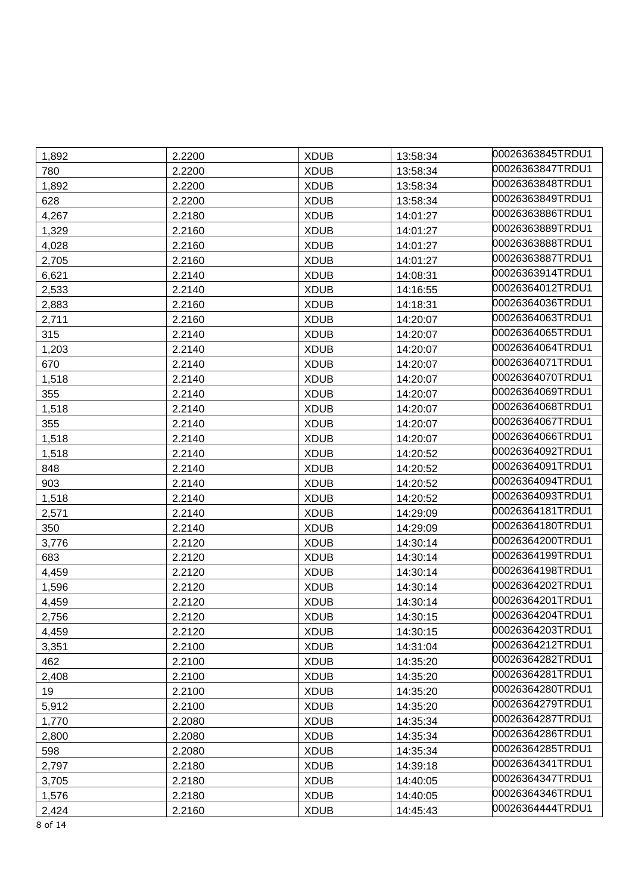| 1,892   | 2.2200 | <b>XDUB</b> | 13:58:34 | 00026363845TRDU1 |
|---------|--------|-------------|----------|------------------|
| 780     | 2.2200 | <b>XDUB</b> | 13:58:34 | 00026363847TRDU1 |
| 1,892   | 2.2200 | <b>XDUB</b> | 13:58:34 | 00026363848TRDU1 |
| 628     | 2.2200 | <b>XDUB</b> | 13:58:34 | 00026363849TRDU1 |
| 4,267   | 2.2180 | <b>XDUB</b> | 14:01:27 | 00026363886TRDU1 |
| 1,329   | 2.2160 | <b>XDUB</b> | 14:01:27 | 00026363889TRDU1 |
| 4,028   | 2.2160 | <b>XDUB</b> | 14:01:27 | 00026363888TRDU1 |
| 2,705   | 2.2160 | <b>XDUB</b> | 14:01:27 | 00026363887TRDU1 |
| 6,621   | 2.2140 | <b>XDUB</b> | 14:08:31 | 00026363914TRDU1 |
| 2,533   | 2.2140 | <b>XDUB</b> | 14:16:55 | 00026364012TRDU1 |
| 2,883   | 2.2160 | <b>XDUB</b> | 14:18:31 | 00026364036TRDU1 |
| 2,711   | 2.2160 | <b>XDUB</b> | 14:20:07 | 00026364063TRDU1 |
| 315     | 2.2140 | <b>XDUB</b> | 14:20:07 | 00026364065TRDU1 |
| 1,203   | 2.2140 | <b>XDUB</b> | 14:20:07 | 00026364064TRDU1 |
| 670     | 2.2140 | <b>XDUB</b> | 14:20:07 | 00026364071TRDU1 |
| 1,518   | 2.2140 | <b>XDUB</b> | 14:20:07 | 00026364070TRDU1 |
| 355     | 2.2140 | <b>XDUB</b> | 14:20:07 | 00026364069TRDU1 |
| 1,518   | 2.2140 | <b>XDUB</b> | 14:20:07 | 00026364068TRDU1 |
| 355     | 2.2140 | <b>XDUB</b> | 14:20:07 | 00026364067TRDU1 |
| 1,518   | 2.2140 | <b>XDUB</b> | 14:20:07 | 00026364066TRDU1 |
| 1,518   | 2.2140 | <b>XDUB</b> | 14:20:52 | 00026364092TRDU1 |
| 848     | 2.2140 | <b>XDUB</b> | 14:20:52 | 00026364091TRDU1 |
| 903     | 2.2140 | <b>XDUB</b> | 14:20:52 | 00026364094TRDU1 |
| 1,518   | 2.2140 | <b>XDUB</b> | 14:20:52 | 00026364093TRDU1 |
| 2,571   | 2.2140 | <b>XDUB</b> | 14:29:09 | 00026364181TRDU1 |
| 350     | 2.2140 | <b>XDUB</b> | 14:29:09 | 00026364180TRDU1 |
| 3,776   | 2.2120 | <b>XDUB</b> | 14:30:14 | 00026364200TRDU1 |
| 683     | 2.2120 | <b>XDUB</b> | 14:30:14 | 00026364199TRDU1 |
| 4,459   | 2.2120 | <b>XDUB</b> | 14:30:14 | 00026364198TRDU1 |
| 1,596   | 2.2120 | <b>XDUB</b> | 14:30:14 | 00026364202TRDU1 |
| 4,459   | 2.2120 | <b>XDUB</b> | 14:30:14 | 00026364201TRDU1 |
| 2,756   | 2.2120 | <b>XDUB</b> | 14:30:15 | 00026364204TRDU1 |
| 4,459   | 2.2120 | <b>XDUB</b> | 14:30:15 | 00026364203TRDU1 |
| 3,351   | 2.2100 | <b>XDUB</b> | 14:31:04 | 00026364212TRDU1 |
| 462     | 2.2100 | <b>XDUB</b> | 14:35:20 | 00026364282TRDU1 |
| 2,408   | 2.2100 | <b>XDUB</b> | 14:35:20 | 00026364281TRDU1 |
| 19      | 2.2100 | <b>XDUB</b> | 14:35:20 | 00026364280TRDU1 |
| 5,912   | 2.2100 | <b>XDUB</b> | 14:35:20 | 00026364279TRDU1 |
| 1,770   | 2.2080 | <b>XDUB</b> | 14:35:34 | 00026364287TRDU1 |
| 2,800   | 2.2080 | <b>XDUB</b> | 14:35:34 | 00026364286TRDU1 |
| 598     | 2.2080 | <b>XDUB</b> | 14:35:34 | 00026364285TRDU1 |
| 2,797   | 2.2180 | <b>XDUB</b> | 14:39:18 | 00026364341TRDU1 |
| 3,705   | 2.2180 | <b>XDUB</b> | 14:40:05 | 00026364347TRDU1 |
| 1,576   | 2.2180 | <b>XDUB</b> | 14:40:05 | 00026364346TRDU1 |
| 2,424   | 2.2160 | <b>XDUB</b> | 14:45:43 | 00026364444TRDU1 |
| 8 of 14 |        |             |          |                  |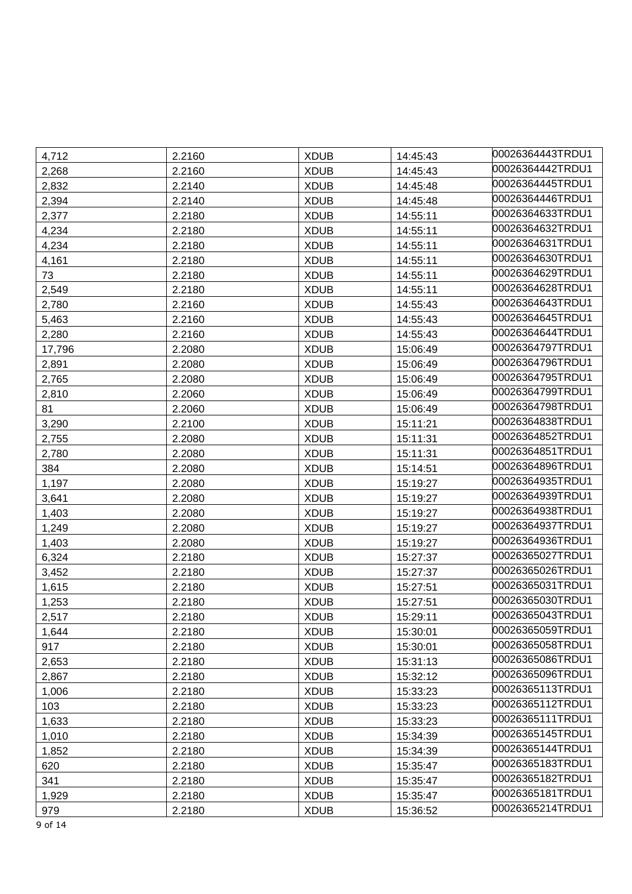| 4,712  | 2.2160 | <b>XDUB</b> | 14:45:43 | 00026364443TRDU1 |
|--------|--------|-------------|----------|------------------|
| 2,268  | 2.2160 | <b>XDUB</b> | 14:45:43 | 00026364442TRDU1 |
| 2,832  | 2.2140 | <b>XDUB</b> | 14:45:48 | 00026364445TRDU1 |
| 2,394  | 2.2140 | <b>XDUB</b> | 14:45:48 | 00026364446TRDU1 |
| 2,377  | 2.2180 | <b>XDUB</b> | 14:55:11 | 00026364633TRDU1 |
| 4,234  | 2.2180 | <b>XDUB</b> | 14:55:11 | 00026364632TRDU1 |
| 4,234  | 2.2180 | <b>XDUB</b> | 14:55:11 | 00026364631TRDU1 |
| 4,161  | 2.2180 | <b>XDUB</b> | 14:55:11 | 00026364630TRDU1 |
| 73     | 2.2180 | <b>XDUB</b> | 14:55:11 | 00026364629TRDU1 |
| 2,549  | 2.2180 | <b>XDUB</b> | 14:55:11 | 00026364628TRDU1 |
| 2,780  | 2.2160 | <b>XDUB</b> | 14:55:43 | 00026364643TRDU1 |
| 5,463  | 2.2160 | <b>XDUB</b> | 14:55:43 | 00026364645TRDU1 |
| 2,280  | 2.2160 | <b>XDUB</b> | 14:55:43 | 00026364644TRDU1 |
| 17,796 | 2.2080 | <b>XDUB</b> | 15:06:49 | 00026364797TRDU1 |
| 2,891  | 2.2080 | <b>XDUB</b> | 15:06:49 | 00026364796TRDU1 |
| 2,765  | 2.2080 | <b>XDUB</b> | 15:06:49 | 00026364795TRDU1 |
| 2,810  | 2.2060 | <b>XDUB</b> | 15:06:49 | 00026364799TRDU1 |
| 81     | 2.2060 | <b>XDUB</b> | 15:06:49 | 00026364798TRDU1 |
| 3,290  | 2.2100 | <b>XDUB</b> | 15:11:21 | 00026364838TRDU1 |
| 2,755  | 2.2080 | <b>XDUB</b> | 15:11:31 | 00026364852TRDU1 |
| 2,780  | 2.2080 | <b>XDUB</b> | 15:11:31 | 00026364851TRDU1 |
| 384    | 2.2080 | <b>XDUB</b> | 15:14:51 | 00026364896TRDU1 |
| 1,197  | 2.2080 | <b>XDUB</b> | 15:19:27 | 00026364935TRDU1 |
| 3,641  | 2.2080 | <b>XDUB</b> | 15:19:27 | 00026364939TRDU1 |
| 1,403  | 2.2080 | <b>XDUB</b> | 15:19:27 | 00026364938TRDU1 |
| 1,249  | 2.2080 | <b>XDUB</b> | 15:19:27 | 00026364937TRDU1 |
| 1,403  | 2.2080 | <b>XDUB</b> | 15:19:27 | 00026364936TRDU1 |
| 6,324  | 2.2180 | <b>XDUB</b> | 15:27:37 | 00026365027TRDU1 |
| 3,452  | 2.2180 | <b>XDUB</b> | 15:27:37 | 00026365026TRDU1 |
| 1,615  | 2.2180 | <b>XDUB</b> | 15:27:51 | 00026365031TRDU1 |
| 1,253  | 2.2180 | <b>XDUB</b> | 15:27:51 | 00026365030TRDU1 |
| 2,517  | 2.2180 | <b>XDUB</b> | 15:29:11 | 00026365043TRDU1 |
| 1,644  | 2.2180 | <b>XDUB</b> | 15:30:01 | 00026365059TRDU1 |
| 917    | 2.2180 | <b>XDUB</b> | 15:30:01 | 00026365058TRDU1 |
| 2,653  | 2.2180 | <b>XDUB</b> | 15:31:13 | 00026365086TRDU1 |
| 2,867  | 2.2180 | <b>XDUB</b> | 15:32:12 | 00026365096TRDU1 |
| 1,006  | 2.2180 | <b>XDUB</b> | 15:33:23 | 00026365113TRDU1 |
| 103    | 2.2180 | <b>XDUB</b> | 15:33:23 | 00026365112TRDU1 |
| 1,633  | 2.2180 | <b>XDUB</b> | 15:33:23 | 00026365111TRDU1 |
| 1,010  | 2.2180 | <b>XDUB</b> | 15:34:39 | 00026365145TRDU1 |
| 1,852  | 2.2180 | <b>XDUB</b> | 15:34:39 | 00026365144TRDU1 |
| 620    | 2.2180 | <b>XDUB</b> | 15:35:47 | 00026365183TRDU1 |
| 341    | 2.2180 | <b>XDUB</b> | 15:35:47 | 00026365182TRDU1 |
| 1,929  | 2.2180 | <b>XDUB</b> | 15:35:47 | 00026365181TRDU1 |
| 979    | 2.2180 | <b>XDUB</b> | 15:36:52 | 00026365214TRDU1 |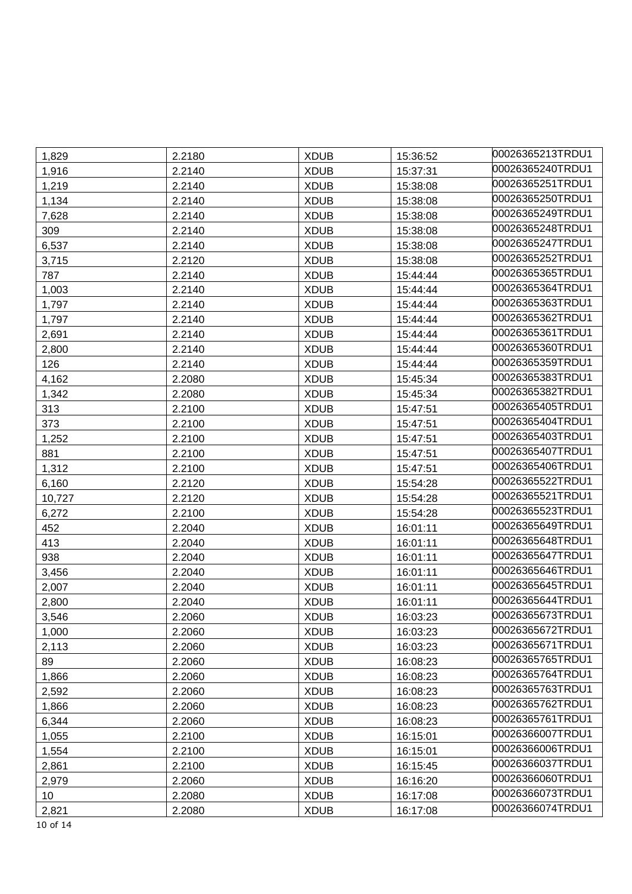| 1,829    | 2.2180 | <b>XDUB</b> | 15:36:52 | 00026365213TRDU1 |
|----------|--------|-------------|----------|------------------|
| 1,916    | 2.2140 | <b>XDUB</b> | 15:37:31 | 00026365240TRDU1 |
| 1,219    | 2.2140 | <b>XDUB</b> | 15:38:08 | 00026365251TRDU1 |
| 1,134    | 2.2140 | <b>XDUB</b> | 15:38:08 | 00026365250TRDU1 |
| 7,628    | 2.2140 | <b>XDUB</b> | 15:38:08 | 00026365249TRDU1 |
| 309      | 2.2140 | <b>XDUB</b> | 15:38:08 | 00026365248TRDU1 |
| 6,537    | 2.2140 | <b>XDUB</b> | 15:38:08 | 00026365247TRDU1 |
| 3,715    | 2.2120 | <b>XDUB</b> | 15:38:08 | 00026365252TRDU1 |
| 787      | 2.2140 | <b>XDUB</b> | 15:44:44 | 00026365365TRDU1 |
| 1,003    | 2.2140 | <b>XDUB</b> | 15:44:44 | 00026365364TRDU1 |
| 1,797    | 2.2140 | <b>XDUB</b> | 15:44:44 | 00026365363TRDU1 |
| 1,797    | 2.2140 | <b>XDUB</b> | 15:44:44 | 00026365362TRDU1 |
| 2,691    | 2.2140 | <b>XDUB</b> | 15:44:44 | 00026365361TRDU1 |
| 2,800    | 2.2140 | <b>XDUB</b> | 15:44:44 | 00026365360TRDU1 |
| 126      | 2.2140 | <b>XDUB</b> | 15:44:44 | 00026365359TRDU1 |
| 4,162    | 2.2080 | <b>XDUB</b> | 15:45:34 | 00026365383TRDU1 |
| 1,342    | 2.2080 | <b>XDUB</b> | 15:45:34 | 00026365382TRDU1 |
| 313      | 2.2100 | <b>XDUB</b> | 15:47:51 | 00026365405TRDU1 |
| 373      | 2.2100 | <b>XDUB</b> | 15:47:51 | 00026365404TRDU1 |
| 1,252    | 2.2100 | <b>XDUB</b> | 15:47:51 | 00026365403TRDU1 |
| 881      | 2.2100 | <b>XDUB</b> | 15:47:51 | 00026365407TRDU1 |
| 1,312    | 2.2100 | <b>XDUB</b> | 15:47:51 | 00026365406TRDU1 |
| 6,160    | 2.2120 | <b>XDUB</b> | 15:54:28 | 00026365522TRDU1 |
| 10,727   | 2.2120 | <b>XDUB</b> | 15:54:28 | 00026365521TRDU1 |
| 6,272    | 2.2100 | <b>XDUB</b> | 15:54:28 | 00026365523TRDU1 |
| 452      | 2.2040 | <b>XDUB</b> | 16:01:11 | 00026365649TRDU1 |
| 413      | 2.2040 | <b>XDUB</b> | 16:01:11 | 00026365648TRDU1 |
| 938      | 2.2040 | <b>XDUB</b> | 16:01:11 | 00026365647TRDU1 |
| 3,456    | 2.2040 | <b>XDUB</b> | 16:01:11 | 00026365646TRDU1 |
| 2,007    | 2.2040 | <b>XDUB</b> | 16:01:11 | 00026365645TRDU1 |
| 2,800    | 2.2040 | <b>XDUB</b> | 16:01:11 | 00026365644TRDU1 |
| 3,546    | 2.2060 | <b>XDUB</b> | 16:03:23 | 00026365673TRDU1 |
| 1,000    | 2.2060 | <b>XDUB</b> | 16:03:23 | 00026365672TRDU1 |
| 2,113    | 2.2060 | <b>XDUB</b> | 16:03:23 | 00026365671TRDU1 |
| 89       | 2.2060 | <b>XDUB</b> | 16:08:23 | 00026365765TRDU1 |
| 1,866    | 2.2060 | <b>XDUB</b> | 16:08:23 | 00026365764TRDU1 |
| 2,592    | 2.2060 | <b>XDUB</b> | 16:08:23 | 00026365763TRDU1 |
| 1,866    | 2.2060 | <b>XDUB</b> | 16:08:23 | 00026365762TRDU1 |
| 6,344    | 2.2060 | <b>XDUB</b> | 16:08:23 | 00026365761TRDU1 |
| 1,055    | 2.2100 | <b>XDUB</b> | 16:15:01 | 00026366007TRDU1 |
| 1,554    | 2.2100 | <b>XDUB</b> | 16:15:01 | 00026366006TRDU1 |
| 2,861    | 2.2100 | <b>XDUB</b> | 16:15:45 | 00026366037TRDU1 |
| 2,979    | 2.2060 | <b>XDUB</b> | 16:16:20 | 00026366060TRDU1 |
| 10       | 2.2080 | <b>XDUB</b> | 16:17:08 | 00026366073TRDU1 |
| 2,821    | 2.2080 | <b>XDUB</b> | 16:17:08 | 00026366074TRDU1 |
| 10 of 14 |        |             |          |                  |